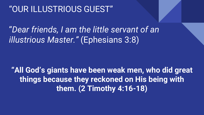## "OUR ILLUSTRIOUS GUEST"

"*Dear friends, I am the little servant of an illustrious Master."* (Ephesians 3:8)

**"All God's giants have been weak men, who did great things because they reckoned on His being with them. (2 Timothy 4:16-18)**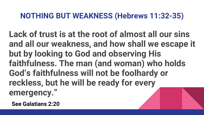## **NOTHING BUT WEAKNESS (Hebrews 11:32-35)**

**Lack of trust is at the root of almost all our sins and all our weakness, and how shall we escape it but by looking to God and observing His faithfulness. The man (and woman) who holds God's faithfulness will not be foolhardy or reckless, but he will be ready for every emergency."**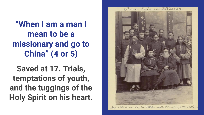**"When I am a man I mean to be a missionary and go to China" (4 or 5)**

**Saved at 17. Trials, temptations of youth, and the tuggings of the Holy Spirit on his heart.**

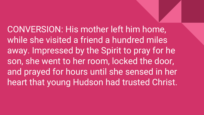CONVERSION: His mother left him home, while she visited a friend a hundred miles away. Impressed by the Spirit to pray for he son, she went to her room, locked the door, and prayed for hours until she sensed in her heart that young Hudson had trusted Christ.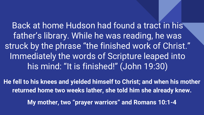Back at home Hudson had found a tract in his father's library. While he was reading, he was struck by the phrase "the finished work of Christ." Immediately the words of Scripture leaped into his mind: "It is finished!" (John 19:30)

**He fell to his knees and yielded himself to Christ; and when his mother returned home two weeks lather, she told him she already knew.**

**My mother, two "prayer warriors" and Romans 10:1-4**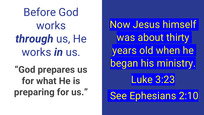Before God works *through* us, He works *in* us.

**"God prepares us for what He is preparing for us."**

Now Jesus himself was about thirty years old when he began his ministry. Luke 3:23 See Ephesians 2:10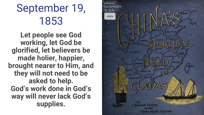September 19, 1853

**Let people see God working, let God be glorified, let believers be made holier, happier, brought nearer to Him, and they will not need to be asked to help. God's work done in God's way will never lack God's supplies.**

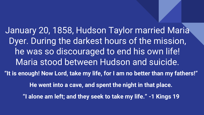January 20, 1858, Hudson Taylor married Maria Dyer. During the darkest hours of the mission, he was so discouraged to end his own life! Maria stood between Hudson and suicide. **"It is enough! Now Lord, take my life, for I am no better than my fathers!" He went into a cave, and spent the night in that place. "I alone am left; and they seek to take my life." -1 Kings 19**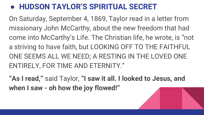## ● **HUDSON TAYLOR'S SPIRITUAL SECRET**

On Saturday, September 4, 1869, Taylor read in a letter from missionary John McCarthy, about the new freedom that had come into McCarthy's Life. The Christian life, he wrote, is "not a striving to have faith, but LOOKING OFF TO THE FAITHFUL ONE SEEMS ALL WE NEED; A RESTING IN THE LOVED ONE ENTIRELY, FOR TIME AND ETERNITY."

**"As I read,"** said Taylor, **"I saw it all. I looked to Jesus, and when I saw - oh how the joy flowed!"**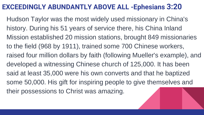## **EXCEEDINGLY ABUNDANTLY ABOVE ALL -Ephesians 3:20**

Hudson Taylor was the most widely used missionary in China's history. During his 51 years of service there, his China Inland Mission established 20 mission stations, brought 849 missionaries to the field (968 by 1911), trained some 700 Chinese workers, raised four million dollars by faith (following Mueller's example), and developed a witnessing Chinese church of 125,000. It has been said at least 35,000 were his own converts and that he baptized some 50,000. His gift for inspiring people to give themselves and their possessions to Christ was amazing.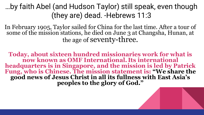…by faith Abel (and Hudson Taylor) still speak, even though (they are) dead. -Hebrews 11:3

In February 1905, Taylor sailed for China for the last time. After a tour of some of the mission stations, he died on June 3 at Changsha, Hunan, at the age of seventy-three.

**Today, about sixteen hundred missionaries work for what is now known as OMF International. Its international headquarters is in Singapore, and the mission is led by Patrick Fung, who is Chinese. The mission statement is: "We share the good news of Jesus Christ in all its fullness with East Asia's peoples to the glory of God."**